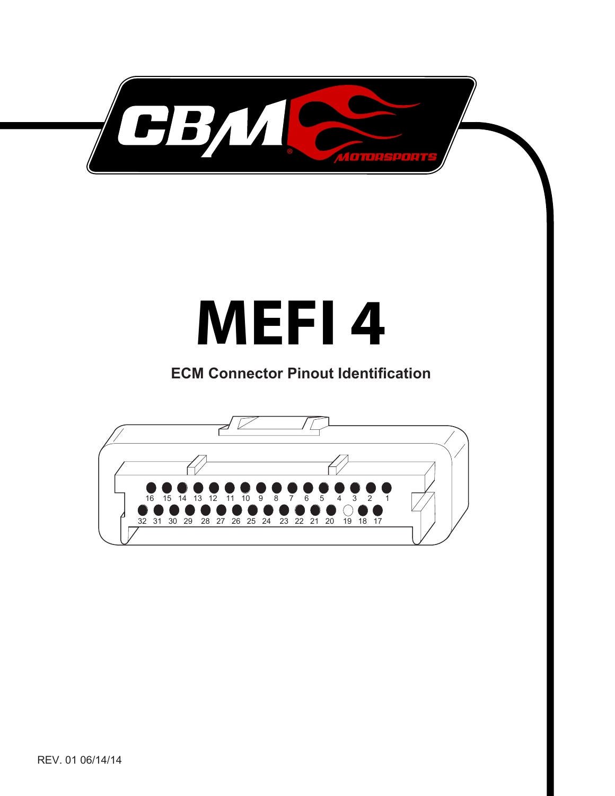

## **MEFI 4**

## **ECM Connector Pinout Identifi cation**

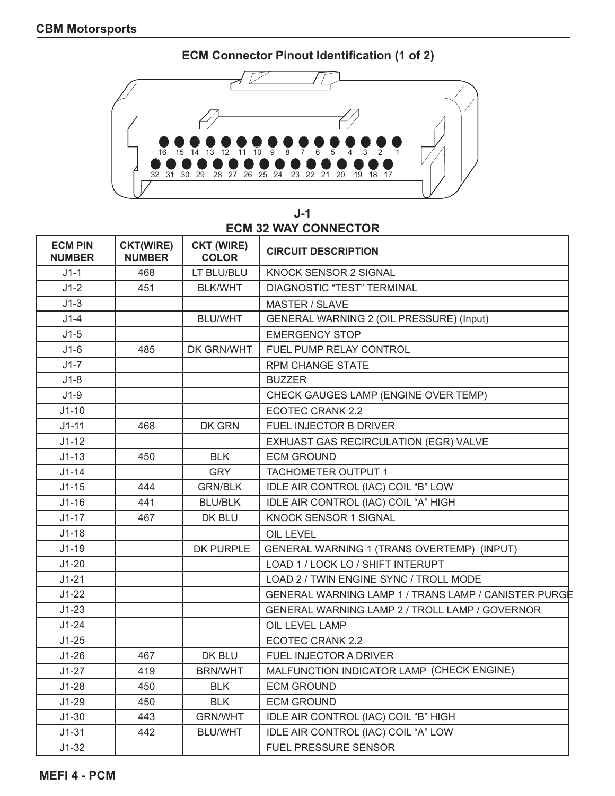**ECM Connector Pinout Identification (1 of 2)**



**J-1 ECM 32 WAY CONNECTOR**

| <b>ECM PIN</b><br><b>NUMBER</b> | <b>CKT(WIRE)</b><br><b>NUMBER</b> | <b>CKT (WIRE)</b><br><b>COLOR</b> | <b>CIRCUIT DESCRIPTION</b>                           |
|---------------------------------|-----------------------------------|-----------------------------------|------------------------------------------------------|
| $J1-1$                          | 468                               | LT BLU/BLU                        | KNOCK SENSOR 2 SIGNAL                                |
| $J1-2$                          | 451                               | <b>BLK/WHT</b>                    | <b>DIAGNOSTIC "TEST" TERMINAL</b>                    |
| $J1-3$                          |                                   |                                   | <b>MASTER / SLAVE</b>                                |
| $J1-4$                          |                                   | <b>BLU/WHT</b>                    | GENERAL WARNING 2 (OIL PRESSURE) (Input)             |
| $J1-5$                          |                                   |                                   | <b>EMERGENCY STOP</b>                                |
| $J1-6$                          | 485                               | DK GRN/WHT                        | FUEL PUMP RELAY CONTROL                              |
| $J1-7$                          |                                   |                                   | <b>RPM CHANGE STATE</b>                              |
| $J1-8$                          |                                   |                                   | <b>BUZZER</b>                                        |
| $J1-9$                          |                                   |                                   | CHECK GAUGES LAMP (ENGINE OVER TEMP)                 |
| $J1-10$                         |                                   |                                   | ECOTEC CRANK 2.2                                     |
| $J1 - 11$                       | 468                               | <b>DK GRN</b>                     | FUEL INJECTOR B DRIVER                               |
| $J1-12$                         |                                   |                                   | EXHUAST GAS RECIRCULATION (EGR) VALVE                |
| $J1-13$                         | 450                               | <b>BLK</b>                        | <b>ECM GROUND</b>                                    |
| $J1-14$                         |                                   | <b>GRY</b>                        | <b>TACHOMETER OUTPUT 1</b>                           |
| $J1-15$                         | 444                               | <b>GRN/BLK</b>                    | IDLE AIR CONTROL (IAC) COIL "B" LOW                  |
| $J1-16$                         | 441                               | <b>BLU/BLK</b>                    | IDLE AIR CONTROL (IAC) COIL "A" HIGH                 |
| $J1-17$                         | 467                               | DK BLU                            | <b>KNOCK SENSOR 1 SIGNAL</b>                         |
| $J1-18$                         |                                   |                                   | OIL LEVEL                                            |
| $J1-19$                         |                                   | <b>DK PURPLE</b>                  | GENERAL WARNING 1 (TRANS OVERTEMP) (INPUT)           |
| $J1-20$                         |                                   |                                   | LOAD 1 / LOCK LO / SHIFT INTERUPT                    |
| $J1-21$                         |                                   |                                   | LOAD 2 / TWIN ENGINE SYNC / TROLL MODE               |
| $J1-22$                         |                                   |                                   | GENERAL WARNING LAMP 1 / TRANS LAMP / CANISTER PURGE |
| $J1-23$                         |                                   |                                   | GENERAL WARNING LAMP 2 / TROLL LAMP / GOVERNOR       |
| $J1-24$                         |                                   |                                   | OIL LEVEL LAMP                                       |
| $J1-25$                         |                                   |                                   | <b>ECOTEC CRANK 2.2</b>                              |
| $J1-26$                         | 467                               | DK BLU                            | <b>FUEL INJECTOR A DRIVER</b>                        |
| $J1-27$                         | 419                               | <b>BRN/WHT</b>                    | MALFUNCTION INDICATOR LAMP (CHECK ENGINE)            |
| $J1-28$                         | 450                               | <b>BLK</b>                        | <b>ECM GROUND</b>                                    |
| $J1-29$                         | 450                               | <b>BLK</b>                        | <b>ECM GROUND</b>                                    |
| $J1-30$                         | 443                               | <b>GRN/WHT</b>                    | IDLE AIR CONTROL (IAC) COIL "B" HIGH                 |
| $J1-31$                         | 442                               | <b>BLU/WHT</b>                    | IDLE AIR CONTROL (IAC) COIL "A" LOW                  |
| $J1-32$                         |                                   |                                   | <b>FUEL PRESSURE SENSOR</b>                          |